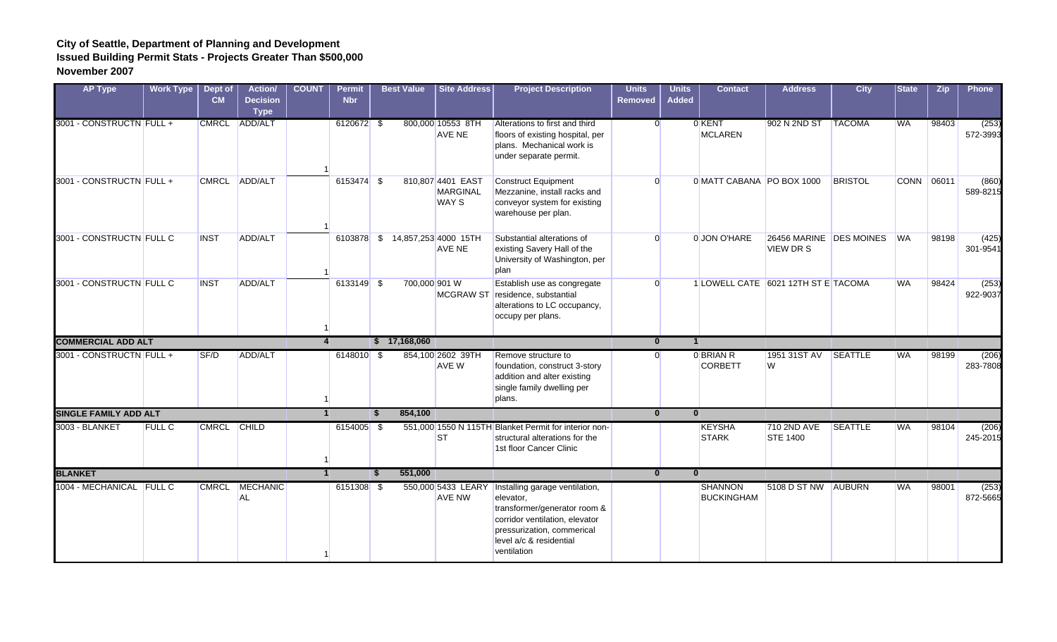| <b>AP Type</b>               | <b>Work Type</b> | Dept of<br><b>CM</b> | <b>Action/</b><br><b>Decision</b><br><b>Type</b> | <b>COUNT</b>   | <b>Permit</b><br><b>Nbr</b> |          | <b>Best Value</b> | <b>Site Address</b>                                  | <b>Project Description</b>                                                                                                                                                            | <b>Units</b><br><b>Removed</b> | <b>Units</b><br><b>Added</b> | <b>Contact</b>                      | <b>Address</b>                              | <b>City</b>    | <b>State</b> | <b>Zip</b> | <b>Phone</b>      |
|------------------------------|------------------|----------------------|--------------------------------------------------|----------------|-----------------------------|----------|-------------------|------------------------------------------------------|---------------------------------------------------------------------------------------------------------------------------------------------------------------------------------------|--------------------------------|------------------------------|-------------------------------------|---------------------------------------------|----------------|--------------|------------|-------------------|
| 3001 - CONSTRUCTN FULL +     |                  |                      | CMRCL ADD/ALT                                    |                | 6120672 \$                  |          |                   | 800,000 10553 8TH<br>AVE NE                          | Alterations to first and third<br>floors of existing hospital, per<br>plans. Mechanical work is<br>under separate permit.                                                             | $\Omega$                       |                              | 0 KENT<br><b>MCLAREN</b>            | 902 N 2ND ST                                | <b>TACOMA</b>  | <b>WA</b>    | 98403      | (253)<br>572-3993 |
| 3001 - CONSTRUCTN FULL +     |                  |                      | CMRCL ADD/ALT                                    |                | 6153474 \$                  |          |                   | 810,807 4401 EAST<br><b>MARGINAL</b><br><b>WAY S</b> | <b>Construct Equipment</b><br>Mezzanine, install racks and<br>conveyor system for existing<br>warehouse per plan.                                                                     | $\Omega$                       |                              | 0 MATT CABANA PO BOX 1000           |                                             | <b>BRISTOL</b> |              | CONN 06011 | (860)<br>589-8215 |
| 3001 - CONSTRUCTN FULL C     |                  | <b>INST</b>          | ADD/ALT                                          |                |                             |          |                   | 6103878 \$ 14,857,253 4000 15TH<br>AVE NE            | Substantial alterations of<br>existing Savery Hall of the<br>University of Washington, per<br>plan                                                                                    | $\Omega$                       |                              | 0 JON O'HARE                        | 26456 MARINE DES MOINES<br><b>VIEW DR S</b> |                | <b>WA</b>    | 98198      | (425)<br>301-9541 |
| 3001 - CONSTRUCTN FULL C     |                  | <b>INST</b>          | ADD/ALT                                          |                | 6133149 \$                  |          | 700,000 901 W     |                                                      | Establish use as congregate<br>MCGRAW ST residence, substantial<br>alterations to LC occupancy,<br>occupy per plans.                                                                  | $\Omega$                       |                              | 1 LOWELL CATE 6021 12TH ST E TACOMA |                                             |                | <b>WA</b>    | 98424      | (253)<br>922-9037 |
| <b>COMMERCIAL ADD ALT</b>    |                  |                      |                                                  | $\overline{4}$ |                             |          | \$17,168,060      |                                                      |                                                                                                                                                                                       | $\mathbf{0}$                   | $\vert$ 1                    |                                     |                                             |                |              |            |                   |
| 3001 - CONSTRUCTN FULL +     |                  | SF/D                 | <b>ADD/ALT</b>                                   |                | 6148010 \$                  |          |                   | 854,100 2602 39TH<br><b>AVE W</b>                    | Remove structure to<br>foundation, construct 3-story<br>addition and alter existing<br>single family dwelling per<br>plans.                                                           | $\Omega$                       |                              | 0 BRIAN R<br><b>CORBETT</b>         | 1951 31ST AV<br>W                           | <b>SEATTLE</b> | <b>WA</b>    | 98199      | (206)<br>283-7808 |
| <b>SINGLE FAMILY ADD ALT</b> |                  |                      |                                                  | $\blacksquare$ |                             | <b>S</b> | 854,100           |                                                      |                                                                                                                                                                                       | $\bf{0}$                       | $\mathbf{0}$                 |                                     |                                             |                |              |            |                   |
| 3003 - BLANKET               | <b>FULL C</b>    | CMRCL CHILD          |                                                  |                | $6154005$ \$                |          |                   | <b>ST</b>                                            | 551,000 1550 N 115TH Blanket Permit for interior non-<br>structural alterations for the<br>1st floor Cancer Clinic                                                                    |                                |                              | <b>KEYSHA</b><br><b>STARK</b>       | 710 2ND AVE<br><b>STE 1400</b>              | <b>SEATTLE</b> | <b>WA</b>    | 98104      | (206)<br>245-2015 |
| <b>BLANKET</b>               |                  |                      |                                                  | $\vert$ 1      |                             | <b>S</b> | 551,000           |                                                      |                                                                                                                                                                                       | $\mathbf{0}$                   | $\mathbf{0}$                 |                                     |                                             |                |              |            |                   |
| 1004 - MECHANICAL FULL C     |                  | <b>CMRCL</b>         | MECHANIC<br><b>AL</b>                            |                | $6151308$ \$                |          |                   | 550,000 5433 LEARY<br><b>AVE NW</b>                  | Installing garage ventilation,<br>elevator,<br>transformer/generator room &<br>corridor ventilation, elevator<br>pressurization, commerical<br>level a/c & residential<br>ventilation |                                |                              | <b>SHANNON</b><br><b>BUCKINGHAM</b> | 5108 D ST NW AUBURN                         |                | <b>WA</b>    | 98001      | (253)<br>872-5665 |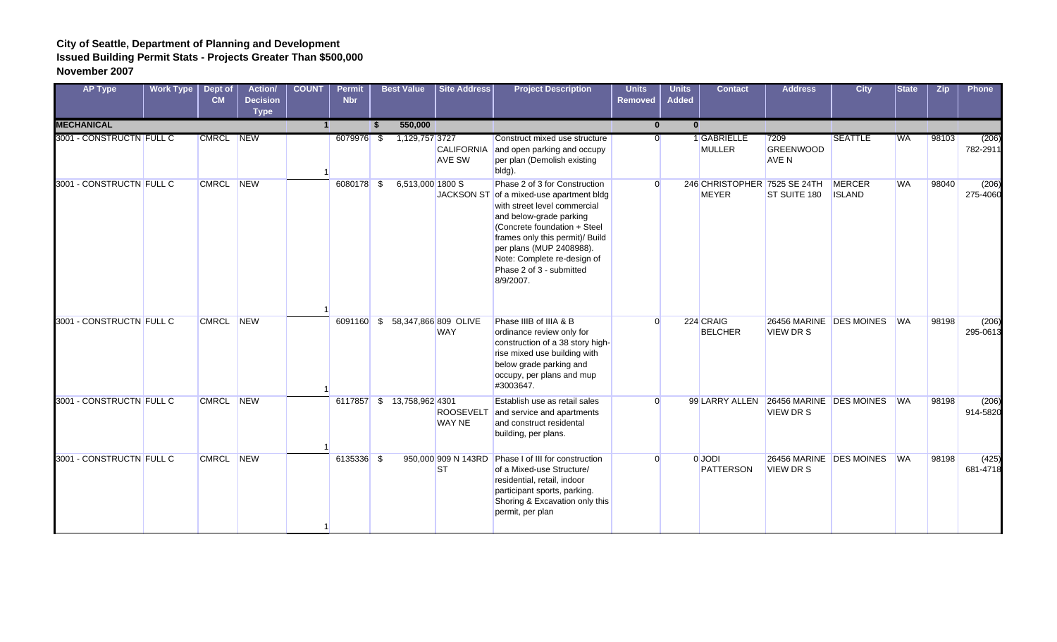| <b>AP Type</b>           | Work Type | Dept of<br>CM | <b>Action/</b><br><b>Decision</b><br><b>Type</b> | <b>COUNT</b> | <b>Permit</b><br><b>Nbr</b> |      | <b>Best Value</b>          | Site Address                       | <b>Project Description</b>                                                                                                                                                                                                                                                                                  | <b>Units</b><br><b>Removed</b> | <b>Units</b><br><b>Added</b> | <b>Contact</b>                               | <b>Address</b>                                             | <b>City</b>                    | <b>State</b> | <b>Zip</b> | Phone             |
|--------------------------|-----------|---------------|--------------------------------------------------|--------------|-----------------------------|------|----------------------------|------------------------------------|-------------------------------------------------------------------------------------------------------------------------------------------------------------------------------------------------------------------------------------------------------------------------------------------------------------|--------------------------------|------------------------------|----------------------------------------------|------------------------------------------------------------|--------------------------------|--------------|------------|-------------------|
| <b>MECHANICAL</b>        |           |               |                                                  |              |                             | - \$ | 550,000                    |                                    |                                                                                                                                                                                                                                                                                                             | $\mathbf{0}$                   | $\bf{0}$                     |                                              |                                                            |                                |              |            |                   |
| 3001 - CONSTRUCTN FULL C |           | CMRCL NEW     |                                                  |              | 6079976 \$                  |      | 1,129,757 3727             | <b>CALIFORNIA</b><br><b>AVE SW</b> | Construct mixed use structure<br>and open parking and occupy<br>per plan (Demolish existing<br>bldg).                                                                                                                                                                                                       | $\Omega$                       |                              | 1 GABRIELLE<br><b>MULLER</b>                 | 7209<br><b>GREENWOOD</b><br><b>AVE N</b>                   | <b>SEATTLE</b>                 | <b>WA</b>    | 98103      | (206)<br>782-2911 |
| 3001 - CONSTRUCTN FULL C |           | CMRCL NEW     |                                                  |              | 6080178 \$                  |      | 6,513,000 1800 S           |                                    | Phase 2 of 3 for Construction<br>JACKSON ST of a mixed-use apartment bldg<br>with street level commercial<br>and below-grade parking<br>(Concrete foundation + Steel<br>frames only this permit)/ Build<br>per plans (MUP 2408988).<br>Note: Complete re-design of<br>Phase 2 of 3 - submitted<br>8/9/2007. | $\Omega$                       |                              | 246 CHRISTOPHER 7525 SE 24TH<br><b>MEYER</b> | ST SUITE 180                                               | <b>MERCER</b><br><b>ISLAND</b> | <b>WA</b>    | 98040      | (206)<br>275-4060 |
| 3001 - CONSTRUCTN FULL C |           | CMRCL NEW     |                                                  |              | 6091160 \$                  |      |                            | 58,347,866 809 OLIVE<br><b>WAY</b> | Phase IIIB of IIIA & B<br>ordinance review only for<br>construction of a 38 story high-<br>rise mixed use building with<br>below grade parking and<br>occupy, per plans and mup<br>#3003647.                                                                                                                | $\Omega$                       |                              | 224 CRAIG<br><b>BELCHER</b>                  | 26456 MARINE DES MOINES<br><b>VIEW DR S</b>                |                                | <b>WA</b>    | 98198      | (206)<br>295-0613 |
| 3001 - CONSTRUCTN FULL C |           | CMRCL NEW     |                                                  |              |                             |      | 6117857 \$ 13,758,962 4301 | <b>ROOSEVELT</b><br><b>WAY NE</b>  | Establish use as retail sales<br>and service and apartments<br>and construct residental<br>building, per plans.                                                                                                                                                                                             | $\Omega$                       |                              |                                              | 99 LARRY ALLEN 26456 MARINE DES MOINES<br><b>VIEW DR S</b> |                                | <b>I</b> WA  | 98198      | (206)<br>914-5820 |
| 3001 - CONSTRUCTN FULL C |           | CMRCL NEW     |                                                  |              | 6135336 \$                  |      |                            | 950,000 909 N 143RD<br><b>ST</b>   | Phase I of III for construction<br>of a Mixed-use Structure/<br>residential, retail, indoor<br>participant sports, parking.<br>Shoring & Excavation only this<br>permit, per plan                                                                                                                           | $\Omega$                       |                              | 0 JODI<br><b>PATTERSON</b>                   | 26456 MARINE DES MOINES<br><b>VIEW DR S</b>                |                                | <b>WA</b>    | 98198      | (425)<br>681-4718 |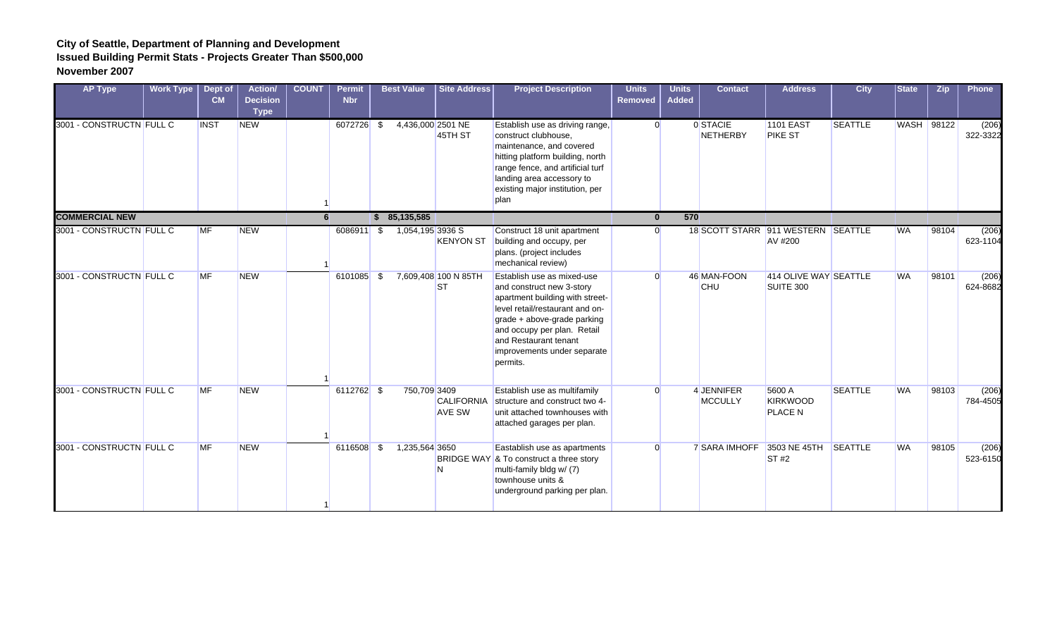| <b>AP Type</b>           | <b>Work Type</b> | Dept of<br>CM | Action/<br><b>Decision</b><br><b>Type</b> | <b>COUNT</b> | <b>Permit</b><br><b>Nbr</b> |      | <b>Best Value</b> | <b>Site Address</b>                | <b>Project Description</b>                                                                                                                                                                                                                                      | <b>Units</b><br><b>Removed</b> | <b>Units</b><br><b>Added</b> | <b>Contact</b>            | <b>Address</b>                                | <b>City</b>    | <b>State</b>      | <b>Zip</b> | <b>Phone</b>      |
|--------------------------|------------------|---------------|-------------------------------------------|--------------|-----------------------------|------|-------------------|------------------------------------|-----------------------------------------------------------------------------------------------------------------------------------------------------------------------------------------------------------------------------------------------------------------|--------------------------------|------------------------------|---------------------------|-----------------------------------------------|----------------|-------------------|------------|-------------------|
| 3001 - CONSTRUCTN FULL C |                  | <b>INST</b>   | <b>NEW</b>                                |              | 6072726                     | - \$ | 4,436,000 2501 NE | 45TH ST                            | Establish use as driving range,<br>construct clubhouse,<br>maintenance, and covered<br>hitting platform building, north<br>range fence, and artificial turf<br>landing area accessory to<br>existing major institution, per<br>plan                             | $\Omega$                       |                              | 0 STACIE<br>NETHERBY      | <b>1101 EAST</b><br><b>PIKE ST</b>            | <b>SEATTLE</b> | <b>WASH</b> 98122 |            | (206)<br>322-3322 |
| <b>COMMERCIAL NEW</b>    |                  |               |                                           | 6            |                             |      | \$85,135,585      |                                    |                                                                                                                                                                                                                                                                 | $\bf{0}$                       | 570                          |                           |                                               |                |                   |            |                   |
| 3001 - CONSTRUCTN FULL C |                  | <b>MF</b>     | <b>NEW</b>                                |              | 6086911 \$                  |      | 1,054,195 3936 S  | <b>KENYON ST</b>                   | Construct 18 unit apartment<br>building and occupy, per<br>plans. (project includes<br>mechanical review)                                                                                                                                                       | <sup>0</sup>                   |                              |                           | 18 SCOTT STARR 911 WESTERN SEATTLE<br>AV #200 |                | <b>WA</b>         | 98104      | (206)<br>623-1104 |
| 3001 - CONSTRUCTN FULL C |                  | <b>MF</b>     | <b>NEW</b>                                |              | 6101085 \$                  |      |                   | 7,609,408 100 N 85TH<br><b>ST</b>  | Establish use as mixed-use<br>and construct new 3-story<br>apartment building with street-<br>level retail/restaurant and on-<br>grade + above-grade parking<br>and occupy per plan. Retail<br>and Restaurant tenant<br>improvements under separate<br>permits. | $\Omega$                       |                              | 46 MAN-FOON<br><b>CHU</b> | 414 OLIVE WAY SEATTLE<br>SUITE 300            |                | <b>WA</b>         | 98101      | (206)<br>624-8682 |
| 3001 - CONSTRUCTN FULL C |                  | <b>MF</b>     | <b>NEW</b>                                |              | 6112762 \$                  |      | 750,709 3409      | <b>CALIFORNIA</b><br><b>AVE SW</b> | Establish use as multifamily<br>structure and construct two 4-<br>unit attached townhouses with<br>attached garages per plan.                                                                                                                                   | $\Omega$                       |                              | 4 JENNIFER<br>MCCULLY     | 5600 A<br><b>KIRKWOOD</b><br><b>PLACE N</b>   | <b>SEATTLE</b> | <b>WA</b>         | 98103      | (206)<br>784-4505 |
| 3001 - CONSTRUCTN FULL C |                  | <b>MF</b>     | <b>NEW</b>                                |              | 6116508 \$                  |      | 1,235,564 3650    | N                                  | Eastablish use as apartments<br>BRIDGE WAY & To construct a three story<br>multi-family bldg w/ (7)<br>townhouse units &<br>underground parking per plan.                                                                                                       | $\Omega$                       |                              | <b>7 SARA IMHOFF</b>      | 3503 NE 45TH<br>ST#2                          | <b>SEATTLE</b> | <b>WA</b>         | 98105      | (206)<br>523-6150 |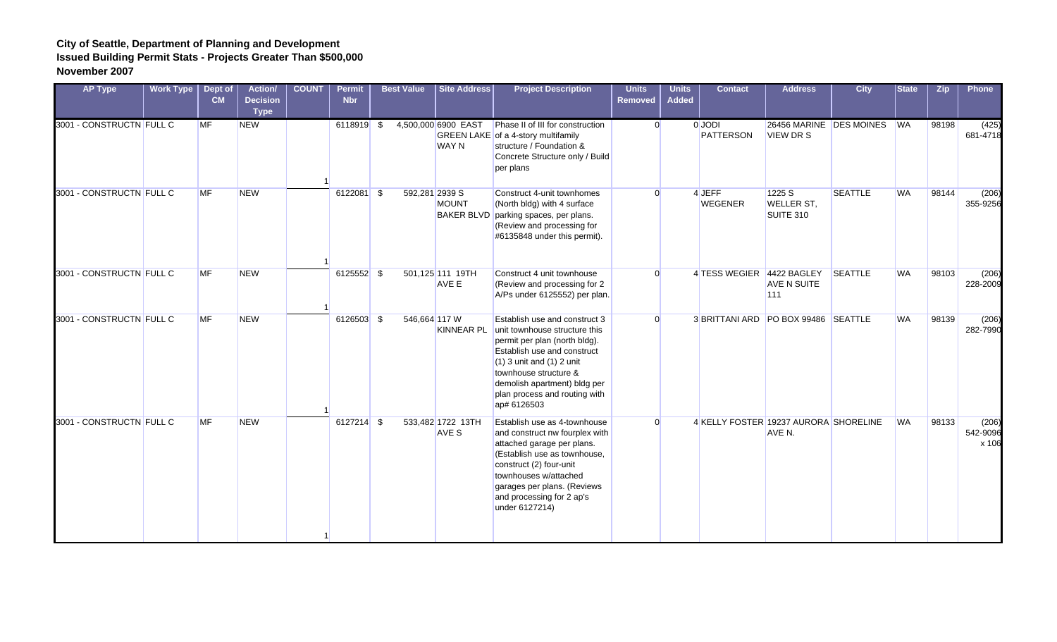| <b>AP Type</b>           | Work Type | Dept of<br>CM | <b>Action/</b><br><b>Decision</b><br><b>Type</b> | <b>COUNT</b> | <b>Permit</b><br><b>Nbr</b> | <b>Best Value</b> | Site Address                                        | <b>Project Description</b>                                                                                                                                                                                                                                               | <b>Units</b><br>Removed | <b>Units</b><br><b>Added</b> | <b>Contact</b>             | <b>Address</b>                                  | <b>City</b>    | <b>State</b> | <b>Zip</b> | Phone                      |
|--------------------------|-----------|---------------|--------------------------------------------------|--------------|-----------------------------|-------------------|-----------------------------------------------------|--------------------------------------------------------------------------------------------------------------------------------------------------------------------------------------------------------------------------------------------------------------------------|-------------------------|------------------------------|----------------------------|-------------------------------------------------|----------------|--------------|------------|----------------------------|
| 3001 - CONSTRUCTN FULL C |           | <b>MF</b>     | <b>NEW</b>                                       |              | 6118919 \$                  |                   | 4,500,000 6900 EAST<br><b>WAY N</b>                 | Phase II of III for construction<br>GREEN LAKE of a 4-story multifamily<br>structure / Foundation &<br>Concrete Structure only / Build<br>per plans                                                                                                                      | $\overline{0}$          |                              | 0 JODI<br><b>PATTERSON</b> | 26456 MARINE DES MOINES<br><b>VIEW DR S</b>     |                | <b>WA</b>    | 98198      | (425)<br>681-4718          |
| 3001 - CONSTRUCTN FULL C |           | <b>MF</b>     | <b>NEW</b>                                       |              | 6122081 \$                  |                   | 592,281 2939 S<br><b>MOUNT</b><br><b>BAKER BLVD</b> | Construct 4-unit townhomes<br>(North bldg) with 4 surface<br>parking spaces, per plans.<br>(Review and processing for<br>#6135848 under this permit).                                                                                                                    | $\Omega$                |                              | 4 JEFF<br><b>WEGENER</b>   | 1225 S<br><b>WELLER ST,</b><br>SUITE 310        | <b>SEATTLE</b> | <b>WA</b>    | 98144      | (206)<br>355-9256          |
| 3001 - CONSTRUCTN FULL C |           | MF            | <b>NEW</b>                                       |              | 6125552 \$                  |                   | 501,125 111 19TH<br>AVE E                           | Construct 4 unit townhouse<br>(Review and processing for 2<br>A/Ps under 6125552) per plan.                                                                                                                                                                              | $\Omega$                |                              | 4 TESS WEGIER 4422 BAGLEY  | AVE N SUITE<br>111                              | <b>SEATTLE</b> | <b>WA</b>    | 98103      | (206)<br>228-2009          |
| 3001 - CONSTRUCTN FULL C |           | <b>MF</b>     | <b>NEW</b>                                       |              | 6126503 \$                  |                   | 546,664 117 W<br><b>KINNEAR PL</b>                  | Establish use and construct 3<br>unit townhouse structure this<br>permit per plan (north bldg).<br>Establish use and construct<br>$(1)$ 3 unit and $(1)$ 2 unit<br>townhouse structure &<br>demolish apartment) bldg per<br>plan process and routing with<br>ap# 6126503 | $\Omega$                |                              |                            | 3 BRITTANI ARD PO BOX 99486 SEATTLE             |                | <b>WA</b>    | 98139      | (206)<br>282-7990          |
| 3001 - CONSTRUCTN FULL C |           | <b>MF</b>     | <b>NEW</b>                                       |              | $6127214$ \$                |                   | 533,482 1722 13TH<br><b>AVE S</b>                   | Establish use as 4-townhouse<br>and construct nw fourplex with<br>attached garage per plans.<br>(Establish use as townhouse,<br>construct (2) four-unit<br>townhouses w/attached<br>garages per plans. (Reviews<br>and processing for 2 ap's<br>under 6127214)           | $\Omega$                |                              |                            | 4 KELLY FOSTER 19237 AURORA SHORELINE<br>AVE N. |                | <b>WA</b>    | 98133      | (206)<br>542-9096<br>x 106 |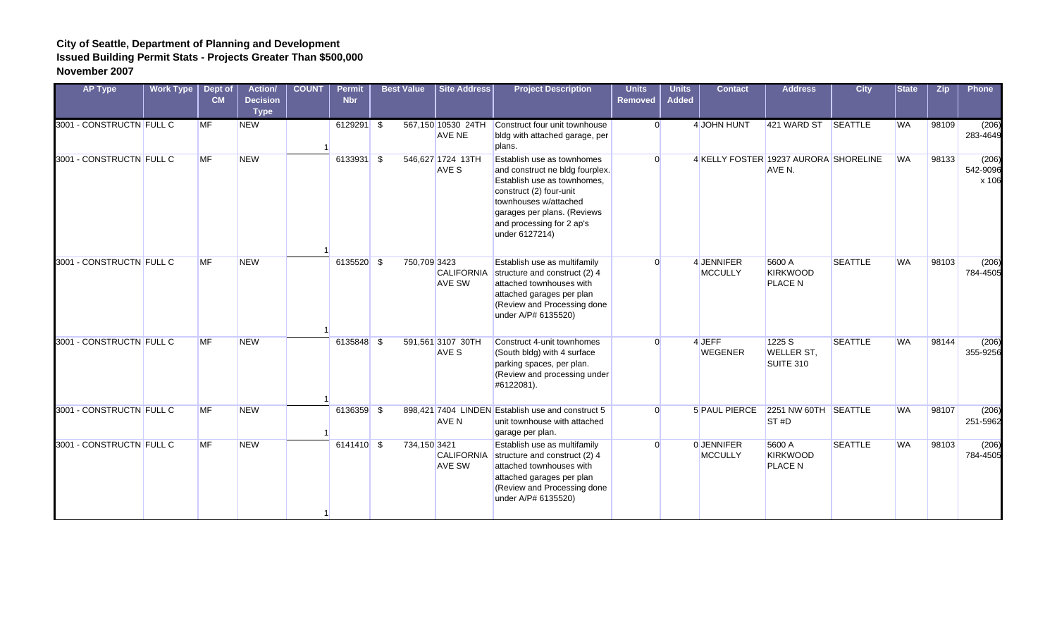| <b>AP Type</b>           | Work Type | Dept of<br>CM | <b>Action/</b><br><b>Decision</b><br><b>Type</b> | <b>COUNT</b> | <b>Permit</b><br><b>Nbr</b> | <b>Best Value</b> | <b>Site Address</b>                                | <b>Project Description</b>                                                                                                                                                                                                     | <b>Units</b><br><b>Removed</b> | <b>Units</b><br><b>Added</b> | <b>Contact</b>                        | <b>Address</b>                           | <b>City</b>    | <b>State</b> | <b>Zip</b> | <b>Phone</b>               |
|--------------------------|-----------|---------------|--------------------------------------------------|--------------|-----------------------------|-------------------|----------------------------------------------------|--------------------------------------------------------------------------------------------------------------------------------------------------------------------------------------------------------------------------------|--------------------------------|------------------------------|---------------------------------------|------------------------------------------|----------------|--------------|------------|----------------------------|
| 3001 - CONSTRUCTN FULL C |           | <b>MF</b>     | <b>NEW</b>                                       |              | $6129291$ \$                |                   | AVE NE                                             | 567,150 10530 24TH Construct four unit townhouse<br>bldg with attached garage, per<br>plans.                                                                                                                                   | $\Omega$                       |                              | 4 JOHN HUNT                           | 421 WARD ST SEATTLE                      |                | <b>WA</b>    | 98109      | (206)<br>283-4649          |
| 3001 - CONSTRUCTN FULL C |           | <b>MF</b>     | <b>NEW</b>                                       |              | 6133931 \$                  |                   | 546,627 1724 13TH<br>AVE S                         | Establish use as townhomes<br>and construct ne bldg fourplex.<br>Establish use as townhomes.<br>construct (2) four-unit<br>townhouses w/attached<br>garages per plans. (Reviews<br>and processing for 2 ap's<br>under 6127214) | $\Omega$                       |                              | 4 KELLY FOSTER 19237 AURORA SHORELINE | AVE N.                                   |                | <b>WA</b>    | 98133      | (206)<br>542-9096<br>x 106 |
| 3001 - CONSTRUCTN FULL C |           | <b>MF</b>     | <b>NEW</b>                                       |              | 6135520 \$                  |                   | 750,709 3423<br><b>CALIFORNIA</b><br><b>AVE SW</b> | Establish use as multifamily<br>structure and construct (2) 4<br>attached townhouses with<br>attached garages per plan<br>(Review and Processing done<br>under A/P# 6135520)                                                   | $\Omega$                       |                              | 4 JENNIFER<br><b>MCCULLY</b>          | 5600 A<br>KIRKWOOD<br><b>PLACE N</b>     | <b>SEATTLE</b> | <b>WA</b>    | 98103      | (206)<br>784-4505          |
| 3001 - CONSTRUCTN FULL C |           | <b>MF</b>     | <b>NEW</b>                                       |              | 6135848 \$                  |                   | 591,561 3107 30TH<br>AVE S                         | Construct 4-unit townhomes<br>(South bldg) with 4 surface<br>parking spaces, per plan.<br>(Review and processing under<br>#6122081).                                                                                           | $\Omega$                       |                              | 4 JEFF<br><b>WEGENER</b>              | 1225 S<br><b>WELLER ST,</b><br>SUITE 310 | <b>SEATTLE</b> | <b>WA</b>    | 98144      | (206)<br>355-9256          |
| 3001 - CONSTRUCTN FULL C |           | <b>MF</b>     | <b>NEW</b>                                       |              | 6136359 \$                  |                   | AVE N                                              | 898.421 7404 LINDEN Establish use and construct 5<br>unit townhouse with attached<br>garage per plan.                                                                                                                          | $\Omega$                       |                              | 5 PAUL PIERCE                         | 2251 NW 60TH SEATTLE<br>ST#D             |                | <b>WA</b>    | 98107      | (206)<br>251-5962          |
| 3001 - CONSTRUCTN FULL C |           | <b>MF</b>     | <b>NEW</b>                                       |              | 6141410 \$                  |                   | 734,150 3421<br><b>CALIFORNIA</b><br><b>AVE SW</b> | Establish use as multifamily<br>structure and construct (2) 4<br>attached townhouses with<br>attached garages per plan<br>(Review and Processing done<br>under A/P# 6135520)                                                   | $\Omega$                       |                              | 0 JENNIFER<br><b>MCCULLY</b>          | 5600 A<br>KIRKWOOD<br><b>PLACE N</b>     | <b>SEATTLE</b> | <b>WA</b>    | 98103      | (206)<br>784-4505          |